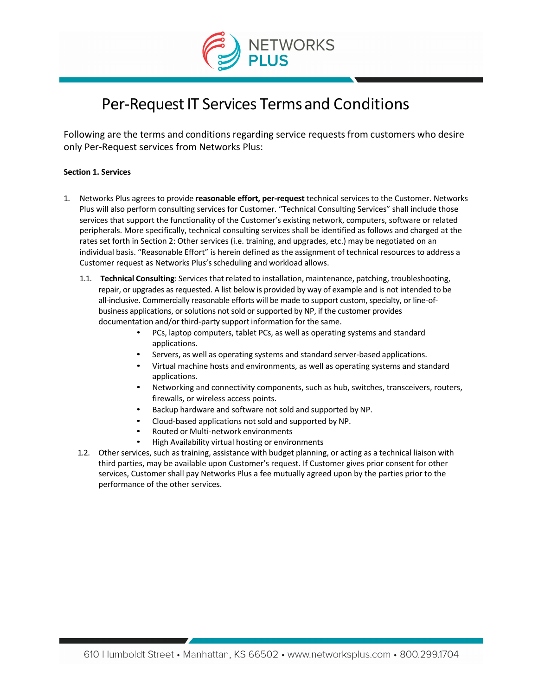

# Per-Request IT Services Terms and Conditions

Following are the terms and conditions regarding service requests from customers who desire only Per-Request services from Networks Plus:

# **Section 1. Services**

- 1. Networks Plus agrees to provide **reasonable effort, per-request** technical services to the Customer. Networks Plus will also perform consulting services for Customer. "Technical Consulting Services" shall include those services that support the functionality of the Customer's existing network, computers, software or related peripherals. More specifically, technical consulting services shall be identified as follows and charged at the rates set forth in Section 2: Other services (i.e. training, and upgrades, etc.) may be negotiated on an individual basis. "Reasonable Effort" is herein defined as the assignment of technical resources to address a Customer request as Networks Plus's scheduling and workload allows.
	- 1.1. **Technical Consulting**: Services thatrelated to installation, maintenance, patching, troubleshooting, repair, or upgrades as requested. A list below is provided by way of example and is not intended to be all-inclusive. Commercially reasonable efforts will be made to support custom, specialty, or line-ofbusiness applications, or solutions not sold or supported by NP, if the customer provides documentation and/or third-party support information for the same.
		- PCs, laptop computers, tablet PCs, as well as operating systems and standard applications.
		- Servers, as well as operating systems and standard server-based applications.
		- Virtual machine hosts and environments, as well as operating systems and standard applications.
		- Networking and connectivity components, such as hub, switches, transceivers, routers, firewalls, or wireless access points.
		- Backup hardware and software not sold and supported by NP.
		- Cloud-based applications not sold and supported by NP.
		- Routed or Multi-network environments
		- High Availability virtual hosting or environments
	- 1.2. Other services, such as training, assistance with budget planning, or acting as a technical liaison with third parties, may be available upon Customer's request. If Customer gives prior consent for other services, Customer shall pay Networks Plus a fee mutually agreed upon by the parties prior to the performance of the other services.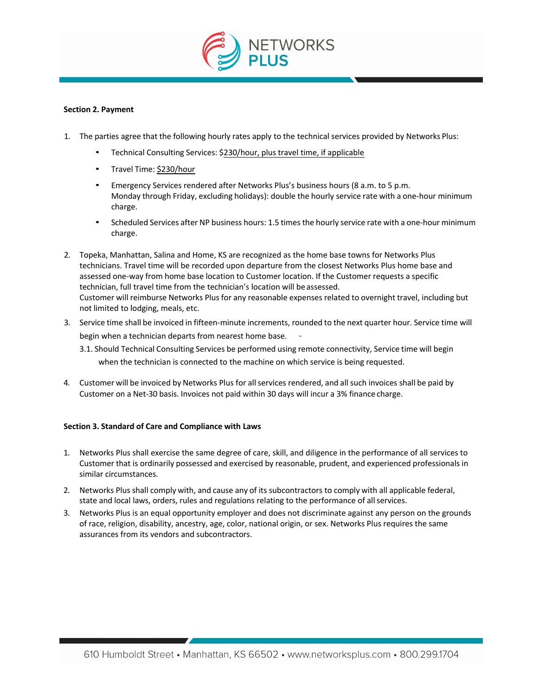

## **Section 2. Payment**

- 1. The parties agree that the following hourly rates apply to the technical services provided by Networks Plus:
	- Technical Consulting Services: \$230/hour, plus travel time, if applicable
	- Travel Time: \$230/hour
	- Emergency Services rendered after Networks Plus's business hours (8 a.m. to 5 p.m. Monday through Friday, excluding holidays): double the hourly service rate with a one-hour minimum charge.
	- Scheduled Services after NP business hours: 1.5 times the hourly service rate with a one-hour minimum charge.
- 2. Topeka, Manhattan, Salina and Home, KS are recognized as the home base towns for Networks Plus technicians. Travel time will be recorded upon departure from the closest Networks Plus home base and assessed one-way from home base location to Customer location. If the Customer requests a specific technician, full travel time from the technician's location will be assessed. Customer will reimburse Networks Plus for any reasonable expenses related to overnight travel, including but not limited to lodging, meals, etc.
- 3. Service time shall be invoiced in fifteen-minute increments, rounded to the next quarter hour. Service time will begin when a technician departs from nearest home base.
	- 3.1. Should Technical Consulting Services be performed using remote connectivity, Service time will begin when the technician is connected to the machine on which service is being requested.
- 4. Customer will be invoiced by Networks Plus for allservices rendered, and all such invoices shall be paid by Customer on a Net-30 basis. Invoices not paid within 30 days will incur a 3% finance charge.

#### **Section 3. Standard of Care and Compliance with Laws**

- 1. Networks Plus shall exercise the same degree of care, skill, and diligence in the performance of all services to Customer that is ordinarily possessed and exercised by reasonable, prudent, and experienced professionals in similar circumstances.
- 2. Networks Plus shall comply with, and cause any of its subcontractors to comply with all applicable federal, state and local laws, orders, rules and regulations relating to the performance of all services.
- 3. Networks Plus is an equal opportunity employer and does not discriminate against any person on the grounds of race, religion, disability, ancestry, age, color, national origin, or sex. Networks Plus requires the same assurances from its vendors and subcontractors.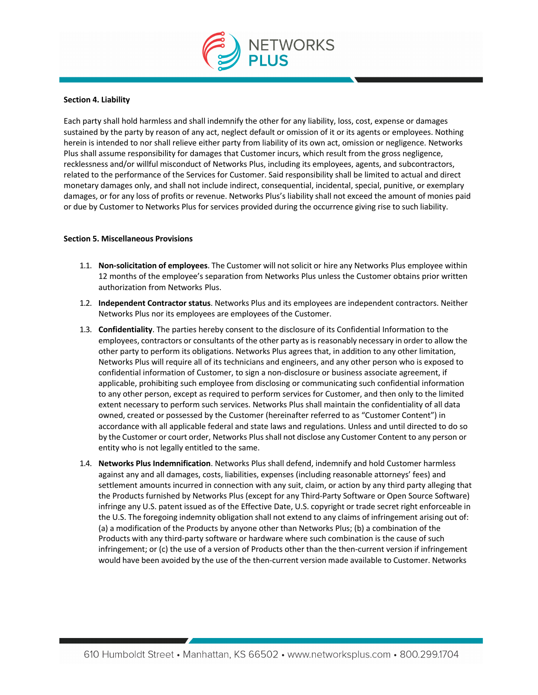

#### **Section 4. Liability**

Each party shall hold harmless and shall indemnify the other for any liability, loss, cost, expense or damages sustained by the party by reason of any act, neglect default or omission of it or its agents or employees. Nothing herein is intended to nor shall relieve either party from liability of its own act, omission or negligence. Networks Plus shall assume responsibility for damages that Customer incurs, which result from the gross negligence, recklessness and/or willful misconduct of Networks Plus, including its employees, agents, and subcontractors, related to the performance of the Services for Customer. Said responsibility shall be limited to actual and direct monetary damages only, and shall not include indirect, consequential, incidental, special, punitive, or exemplary damages, or for any loss of profits or revenue. Networks Plus's liability shall not exceed the amount of monies paid or due by Customer to Networks Plus for services provided during the occurrence giving rise to such liability.

## **Section 5. Miscellaneous Provisions**

- 1.1. **Non-solicitation of employees**. The Customer will notsolicit or hire any Networks Plus employee within 12 months of the employee's separation from Networks Plus unless the Customer obtains prior written authorization from Networks Plus.
- 1.2. **Independent Contractor status**. Networks Plus and its employees are independent contractors. Neither Networks Plus nor its employees are employees of the Customer.
- 1.3. **Confidentiality**. The parties hereby consent to the disclosure of its Confidential Information to the employees, contractors or consultants of the other party as is reasonably necessary in order to allow the other party to perform its obligations. Networks Plus agrees that, in addition to any other limitation, Networks Plus will require all of its technicians and engineers, and any other person who is exposed to confidential information of Customer, to sign a non-disclosure or business associate agreement, if applicable, prohibiting such employee from disclosing or communicating such confidential information to any other person, except as required to perform services for Customer, and then only to the limited extent necessary to perform such services. Networks Plus shall maintain the confidentiality of all data owned, created or possessed by the Customer (hereinafter referred to as "Customer Content") in accordance with all applicable federal and state laws and regulations. Unless and until directed to do so by the Customer or court order, Networks Plus shall not disclose any Customer Content to any person or entity who is not legally entitled to the same.
- 1.4. **Networks Plus Indemnification**. Networks Plus shall defend, indemnify and hold Customer harmless against any and all damages, costs, liabilities, expenses (including reasonable attorneys' fees) and settlement amounts incurred in connection with any suit, claim, or action by any third party alleging that the Products furnished by Networks Plus (except for any Third-Party Software or Open Source Software) infringe any U.S. patent issued as of the Effective Date, U.S. copyright or trade secret right enforceable in the U.S. The foregoing indemnity obligation shall not extend to any claims of infringement arising out of: (a) a modification of the Products by anyone other than Networks Plus; (b) a combination of the Products with any third-party software or hardware where such combination is the cause of such infringement; or (c) the use of a version of Products other than the then-current version if infringement would have been avoided by the use of the then-current version made available to Customer. Networks